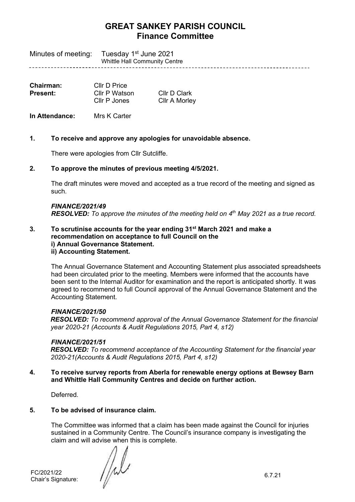Minutes of meeting: Tuesday 1<sup>st</sup> June 2021 Whittle Hall Community Centre

| Chairman:       | Cllr D Price  |                      |
|-----------------|---------------|----------------------|
| <b>Present:</b> | Cllr P Watson | Cllr D Clark         |
|                 | Cllr P Jones  | <b>CIIr A Morley</b> |

**In Attendance:** Mrs K Carter

# **1. To receive and approve any apologies for unavoidable absence.**

There were apologies from Cllr Sutcliffe.

# **2. To approve the minutes of previous meeting 4/5/2021.**

The draft minutes were moved and accepted as a true record of the meeting and signed as such.

# *FINANCE/2021/49 RESOLVED: To approve the minutes of the meeting held on 4 th May 2021 as a true record.*

### **3. To scrutinise accounts for the year ending 31st March 2021 and make a recommendation on acceptance to full Council on the i) Annual Governance Statement. ii) Accounting Statement.**

The Annual Governance Statement and Accounting Statement plus associated spreadsheets had been circulated prior to the meeting. Members were informed that the accounts have been sent to the Internal Auditor for examination and the report is anticipated shortly. It was agreed to recommend to full Council approval of the Annual Governance Statement and the Accounting Statement.

# *FINANCE/2021/50*

*RESOLVED: To recommend approval of the Annual Governance Statement for the financial year 2020-21 (Accounts & Audit Regulations 2015, Part 4, s12)*

# *FINANCE/2021/51*

*RESOLVED: To recommend acceptance of the Accounting Statement for the financial year 2020-21(Accounts & Audit Regulations 2015, Part 4, s12)*

# **4. To receive survey reports from Aberla for renewable energy options at Bewsey Barn and Whittle Hall Community Centres and decide on further action.**

Deferred.

# **5. To be advised of insurance claim.**

The Committee was informed that a claim has been made against the Council for injuries sustained in a Community Centre. The Council's insurance company is investigating the claim and will advise when this is complete.

FC/2021/22 6.7.21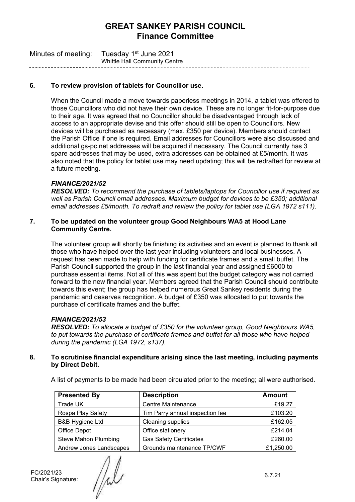| Minutes of meeting: | Tuesday 1 <sup>st</sup> June 2021    |
|---------------------|--------------------------------------|
|                     | <b>Whittle Hall Community Centre</b> |

### **6. To review provision of tablets for Councillor use.**

When the Council made a move towards paperless meetings in 2014, a tablet was offered to those Councillors who did not have their own device. These are no longer fit-for-purpose due to their age. It was agreed that no Councillor should be disadvantaged through lack of access to an appropriate devise and this offer should still be open to Councillors. New devices will be purchased as necessary (max. £350 per device). Members should contact the Parish Office if one is required. Email addresses for Councillors were also discussed and additional gs-pc.net addresses will be acquired if necessary. The Council currently has 3 spare addresses that may be used, extra addresses can be obtained at £5/month. It was also noted that the policy for tablet use may need updating; this will be redrafted for review at a future meeting.

#### *FINANCE/2021/52*

*RESOLVED: To recommend the purchase of tablets/laptops for Councillor use if required as well as Parish Council email addresses. Maximum budget for devices to be £350; additional email addresses £5/month. To redraft and review the policy for tablet use (LGA 1972 s111).*

#### **7. To be updated on the volunteer group Good Neighbours WA5 at Hood Lane Community Centre.**

The volunteer group will shortly be finishing its activities and an event is planned to thank all those who have helped over the last year including volunteers and local businesses. A request has been made to help with funding for certificate frames and a small buffet. The Parish Council supported the group in the last financial year and assigned £6000 to purchase essential items. Not all of this was spent but the budget category was not carried forward to the new financial year. Members agreed that the Parish Council should contribute towards this event; the group has helped numerous Great Sankey residents during the pandemic and deserves recognition. A budget of £350 was allocated to put towards the purchase of certificate frames and the buffet.

#### *FINANCE/2021/53*

*RESOLVED: To allocate a budget of £350 for the volunteer group, Good Neighbours WA5, to put towards the purchase of certificate frames and buffet for all those who have helped during the pandemic (LGA 1972, s137).*

#### **8. To scrutinise financial expenditure arising since the last meeting, including payments by Direct Debit.**

A list of payments to be made had been circulated prior to the meeting; all were authorised.

| <b>Presented By</b>         | <b>Description</b>              | <b>Amount</b> |
|-----------------------------|---------------------------------|---------------|
| Trade UK                    | <b>Centre Maintenance</b>       | £19.27        |
| Rospa Play Safety           | Tim Parry annual inspection fee | £103.20       |
| <b>B&amp;B Hygiene Ltd</b>  | Cleaning supplies               | £162.05       |
| Office Depot                | Office stationery               | £214.04       |
| <b>Steve Mahon Plumbing</b> | <b>Gas Safety Certificates</b>  | £260.00       |
| Andrew Jones Landscapes     | Grounds maintenance TP/CWF      | £1,250.00     |

FC/2021/23<br>Chair's Signature:

 $\frac{1}{\sqrt{2}}$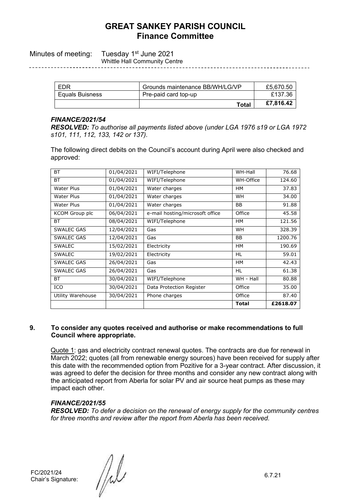Minutes of meeting: Tuesday 1<sup>st</sup> June 2021 Whittle Hall Community Centre

| <b>Equals Buisness</b> | Pre-paid card top-up | £137.36   |
|------------------------|----------------------|-----------|
|                        | <b>Total</b>         | £7,816.42 |

### *FINANCE/2021/54*

*RESOLVED: To authorise all payments listed above (under LGA 1976 s19 or LGA 1972 s101, 111, 112, 133, 142 or 137).* 

The following direct debits on the Council's account during April were also checked and approved:

| ВT                    | 01/04/2021 | WIFI/Telephone                  | WH-Hall      | 76.68    |
|-----------------------|------------|---------------------------------|--------------|----------|
| <b>BT</b>             | 01/04/2021 | WIFI/Telephone                  | WH-Office    | 124.60   |
| Water Plus            | 01/04/2021 | Water charges                   | <b>HM</b>    | 37.83    |
| Water Plus            | 01/04/2021 | Water charges                   | WH           | 34.00    |
| Water Plus            | 01/04/2021 | Water charges                   | <b>BB</b>    | 91.88    |
| <b>KCOM Group plc</b> | 06/04/2021 | e-mail hosting/microsoft office | Office       | 45.58    |
| ВT                    | 08/04/2021 | WIFI/Telephone                  | <b>HM</b>    | 121.56   |
| <b>SWALEC GAS</b>     | 12/04/2021 | Gas                             | WH           | 328.39   |
| <b>SWALEC GAS</b>     | 12/04/2021 | Gas                             | <b>BB</b>    | 1200.76  |
| <b>SWALEC</b>         | 15/02/2021 | Electricity                     | <b>HM</b>    | 190.69   |
| <b>SWALEC</b>         | 19/02/2021 | Electricity                     | <b>HL</b>    | 59.01    |
| <b>SWALEC GAS</b>     | 26/04/2021 | Gas                             | <b>HM</b>    | 42.43    |
| SWALEC GAS            | 26/04/2021 | Gas                             | HL.          | 61.38    |
| <b>BT</b>             | 30/04/2021 | WIFI/Telephone                  | WH - Hall    | 80.88    |
| ICO                   | 30/04/2021 | Data Protection Register        | Office       | 35.00    |
| Utility Warehouse     | 30/04/2021 | Phone charges                   | Office       | 87.40    |
|                       |            |                                 | <b>Total</b> | £2618.07 |

#### **9. To consider any quotes received and authorise or make recommendations to full Council where appropriate.**

Quote 1: gas and electricity contract renewal quotes. The contracts are due for renewal in March 2022; quotes (all from renewable energy sources) have been received for supply after this date with the recommended option from Pozitive for a 3-year contract. After discussion, it was agreed to defer the decision for three months and consider any new contract along with the anticipated report from Aberla for solar PV and air source heat pumps as these may impact each other.

# *FINANCE/2021/55*

*RESOLVED: To defer a decision on the renewal of energy supply for the community centres for three months and review after the report from Aberla has been received.*

FC/2021/24<br>Chair's Signature:

 $\frac{1}{\sqrt{2}}$